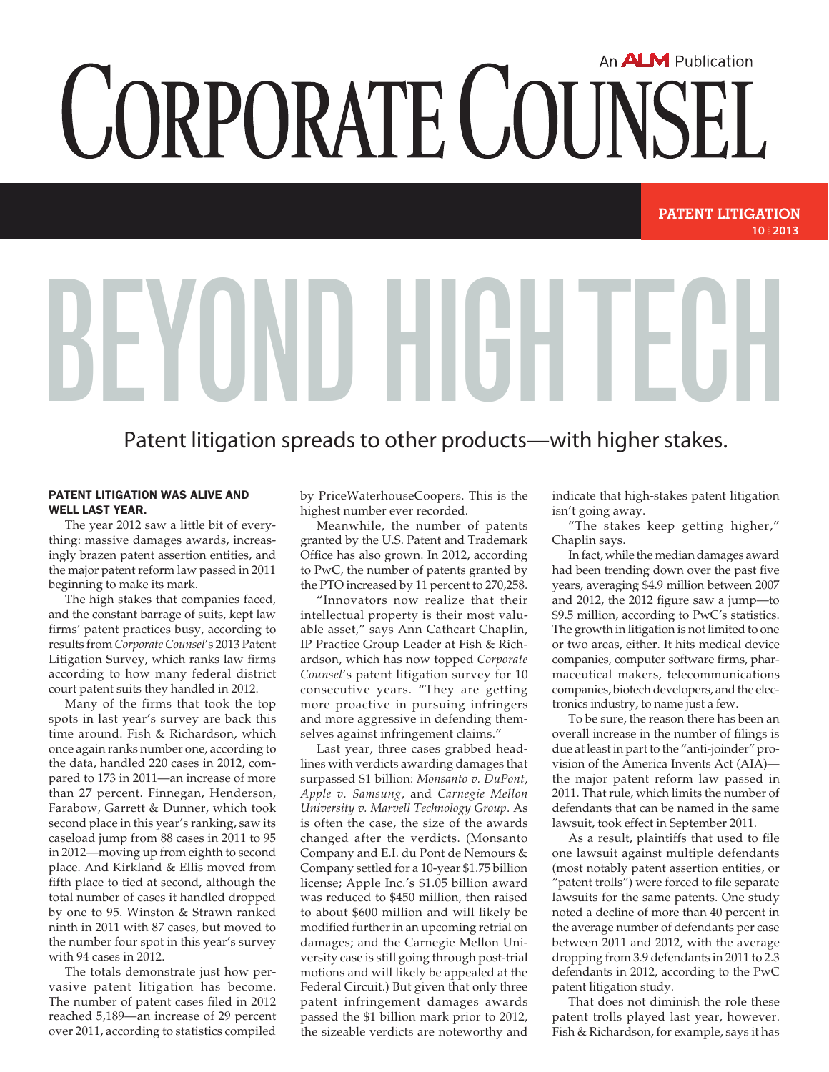## An **ALM** Publication CORPORATE COUNSEL

## **10 2013 patent Litigation**

## Patent litigation spreads to other products—with higher stakes.

BEYUNIJ HIGH TEGH

## Patent litigation was alive and well last year.

The year 2012 saw a little bit of everything: massive damages awards, increasingly brazen patent assertion entities, and the major patent reform law passed in 2011 beginning to make its mark.

The high stakes that companies faced, and the constant barrage of suits, kept law firms' patent practices busy, according to results from *Corporate Counsel*'s 2013 Patent Litigation Survey, which ranks law firms according to how many federal district court patent suits they handled in 2012.

Many of the firms that took the top spots in last year's survey are back this time around. Fish & Richardson, which once again ranks number one, according to the data, handled 220 cases in 2012, compared to 173 in 2011—an increase of more than 27 percent. Finnegan, Henderson, Farabow, Garrett & Dunner, which took second place in this year's ranking, saw its caseload jump from 88 cases in 2011 to 95 in 2012—moving up from eighth to second place. And Kirkland & Ellis moved from fifth place to tied at second, although the total number of cases it handled dropped by one to 95. Winston & Strawn ranked ninth in 2011 with 87 cases, but moved to the number four spot in this year's survey with 94 cases in 2012.

The totals demonstrate just how pervasive patent litigation has become. The number of patent cases filed in 2012 reached 5,189—an increase of 29 percent over 2011, according to statistics compiled

by PriceWaterhouseCoopers. This is the highest number ever recorded.

Meanwhile, the number of patents granted by the U.S. Patent and Trademark Office has also grown. In 2012, according to PwC, the number of patents granted by the PTO increased by 11 percent to 270,258.

"Innovators now realize that their intellectual property is their most valuable asset," says Ann Cathcart Chaplin, IP Practice Group Leader at Fish & Richardson, which has now topped *Corporate Counsel*'s patent litigation survey for 10 consecutive years. "They are getting more proactive in pursuing infringers and more aggressive in defending themselves against infringement claims."

Last year, three cases grabbed headlines with verdicts awarding damages that surpassed \$1 billion: *Monsanto v. DuPont*, *Apple v. Samsung*, and *Carnegie Mellon University v. Marvell Technology Group*. As is often the case, the size of the awards changed after the verdicts. (Monsanto Company and E.I. du Pont de Nemours & Company settled for a 10-year \$1.75 billion license; Apple Inc.'s \$1.05 billion award was reduced to \$450 million, then raised to about \$600 million and will likely be modified further in an upcoming retrial on damages; and the Carnegie Mellon University case is still going through post-trial motions and will likely be appealed at the Federal Circuit.) But given that only three patent infringement damages awards passed the \$1 billion mark prior to 2012, the sizeable verdicts are noteworthy and

indicate that high-stakes patent litigation isn't going away.

"The stakes keep getting higher," Chaplin says.

In fact, while the median damages award had been trending down over the past five years, averaging \$4.9 million between 2007 and 2012, the 2012 figure saw a jump—to \$9.5 million, according to PwC's statistics. The growth in litigation is not limited to one or two areas, either. It hits medical device companies, computer software firms, pharmaceutical makers, telecommunications companies, biotech developers, and the electronics industry, to name just a few.

To be sure, the reason there has been an overall increase in the number of filings is due at least in part to the "anti-joinder" provision of the America Invents Act (AIA) the major patent reform law passed in 2011. That rule, which limits the number of defendants that can be named in the same lawsuit, took effect in September 2011.

As a result, plaintiffs that used to file one lawsuit against multiple defendants (most notably patent assertion entities, or "patent trolls") were forced to file separate lawsuits for the same patents. One study noted a decline of more than 40 percent in the average number of defendants per case between 2011 and 2012, with the average dropping from 3.9 defendants in 2011 to 2.3 defendants in 2012, according to the PwC patent litigation study.

That does not diminish the role these patent trolls played last year, however. Fish & Richardson, for example, says it has